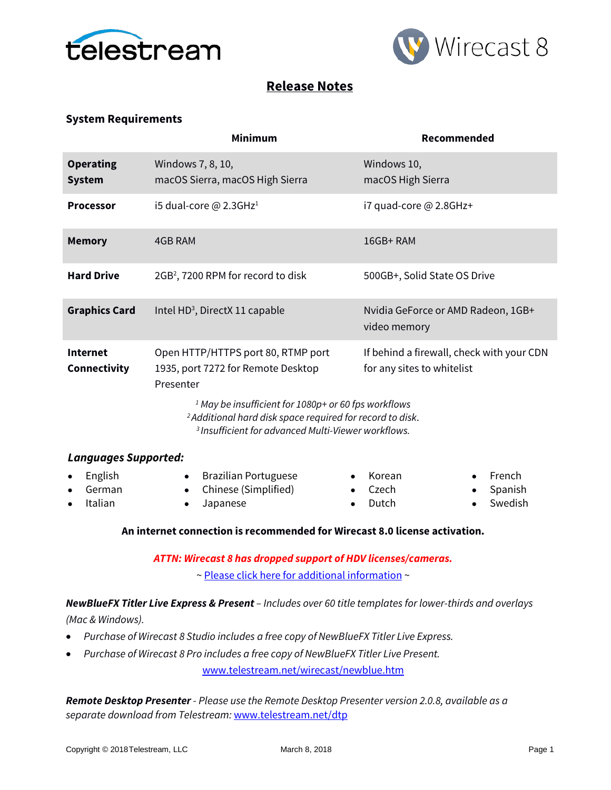



# **Release Notes**

# **System Requirements**

|                                        | <b>Minimum</b>                                                                                                                                                                                                                                                                                                                                                                | Recommended                                        |  |
|----------------------------------------|-------------------------------------------------------------------------------------------------------------------------------------------------------------------------------------------------------------------------------------------------------------------------------------------------------------------------------------------------------------------------------|----------------------------------------------------|--|
| <b>Operating</b><br><b>System</b>      | Windows 7, 8, 10,<br>macOS Sierra, macOS High Sierra                                                                                                                                                                                                                                                                                                                          | Windows 10,<br>macOS High Sierra                   |  |
| <b>Processor</b>                       | i5 dual-core $@$ 2.3GHz <sup>1</sup>                                                                                                                                                                                                                                                                                                                                          | i7 quad-core @ 2.8GHz+                             |  |
| <b>Memory</b>                          | 4GB RAM                                                                                                                                                                                                                                                                                                                                                                       | 16GB+RAM                                           |  |
| <b>Hard Drive</b>                      | 2GB <sup>2</sup> , 7200 RPM for record to disk                                                                                                                                                                                                                                                                                                                                | 500GB+, Solid State OS Drive                       |  |
| <b>Graphics Card</b>                   | Intel HD <sup>3</sup> , DirectX 11 capable                                                                                                                                                                                                                                                                                                                                    | Nvidia GeForce or AMD Radeon, 1GB+<br>video memory |  |
| <b>Internet</b><br><b>Connectivity</b> | Open HTTP/HTTPS port 80, RTMP port<br>If behind a firewall, check with your CDN<br>1935, port 7272 for Remote Desktop<br>for any sites to whitelist<br>Presenter<br><sup>1</sup> May be insufficient for 1080p+ or 60 fps workflows<br><sup>2</sup> Additional hard disk space required for record to disk.<br><sup>3</sup> Insufficient for advanced Multi-Viewer workflows. |                                                    |  |
| <b>Languages Supported:</b>            |                                                                                                                                                                                                                                                                                                                                                                               |                                                    |  |
| English<br>German                      | <b>Brazilian Portuguese</b><br>Chinese (Simplified)                                                                                                                                                                                                                                                                                                                           | French<br>Korean<br>Czech<br>Spanish               |  |

• Italian

• Chinese (Simplified) • Japanese

- Czech • Dutch
- Spanish

• Swedish

## **An internet connection is recommended for Wirecast 8.0 license activation.**

*ATTN: Wirecast 8 has dropped support of HDV licenses/cameras.* 

~ [Please click here for additional information](http://www.telestream.net/telestream-support/wire-cast/faq.htm?kbURL=http://telestream.force.com/kb/articles/Knowledge_Article/Wirecast-HDV-Firewire-No-longer-Supported/) ~

*NewBlueFX Titler Live Express & Present – Includes over 60 title templates for lower-thirds and overlays* 

*(Mac & Windows).*

- *Purchase of Wirecast 8 Studio includes a free copy of NewBlueFX Titler Live Express.*
- *Purchase of Wirecast 8 Pro includes a free copy of NewBlueFX Titler Live Present.*

[www.telestream.net/wirecast/newblue.htm](http://www.telestream.net/wirecast/newblue.htm)

*Remote Desktop Presenter - Please use the Remote Desktop Presenter version 2.0.8, available as a separate download from Telestream:* [www.telestream.net/dtp](http://www.telestream.net/dtp)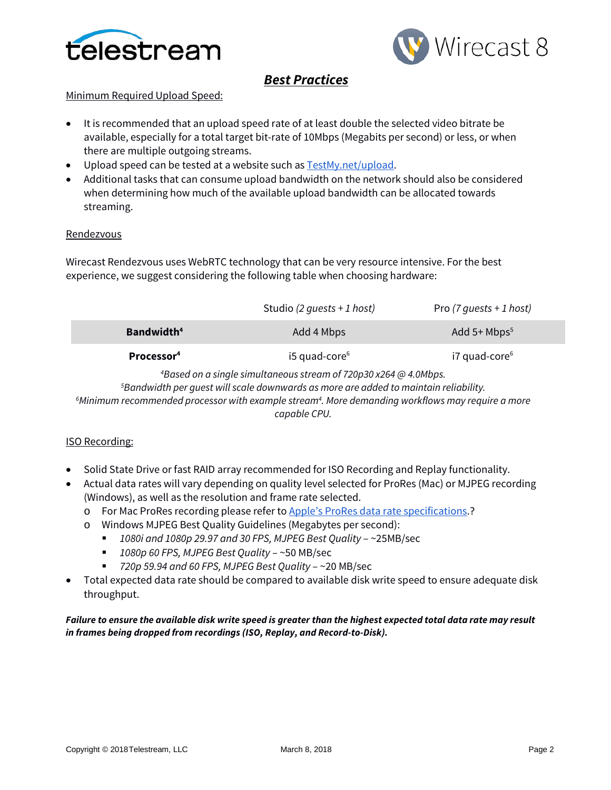



# *Best Practices*

# Minimum Required Upload Speed:

- It is recommended that an upload speed rate of at least double the selected video bitrate be available, especially for a total target bit-rate of 10Mbps (Megabits per second) or less, or when there are multiple outgoing streams.
- Upload speed can be tested at a website such as **TestMy.net/upload**.
- Additional tasks that can consume upload bandwidth on the network should also be considered when determining how much of the available upload bandwidth can be allocated towards streaming.

### **Rendezvous**

Wirecast Rendezvous uses WebRTC technology that can be very resource intensive. For the best experience, we suggest considering the following table when choosing hardware:

|                        | Studio (2 guests + 1 host) | Pro $(7 \text{ quests + 1 host)}$ |
|------------------------|----------------------------|-----------------------------------|
| Bandwidth <sup>4</sup> | Add 4 Mbps                 | Add $5+$ Mbps <sup>5</sup>        |
| Processor <sup>4</sup> | $i5$ quad-core $6$         | i7 quad-core <sup>6</sup>         |

 *Based on a single simultaneous stream of 720p30 x264 @ 4.0Mbps. Bandwidth per guest will scale downwards as more are added to maintain reliability. Minimum recommended processor with example stream4 . More demanding workflows may require a more capable CPU.*

## ISO Recording:

- Solid State Drive or fast RAID array recommended for ISO Recording and Replay functionality.
- Actual data rates will vary depending on quality level selected for ProRes (Mac) or MJPEG recording (Windows), as well as the resolution and frame rate selected.
	- o For Mac ProRes recording please refer t[o Apple's ProRes data rate specifications.](https://documentation.apple.com/en/finalcutpro/professionalformatsandworkflows/index.html)?
	- o Windows MJPEG Best Quality Guidelines (Megabytes per second):
		- *1080i and 1080p 29.97 and 30 FPS, MJPEG Best Quality* ~25MB/sec
		- *1080p 60 FPS, MJPEG Best Quality* ~50 MB/sec
		- *720p 59.94 and 60 FPS, MJPEG Best Quality* ~20 MB/sec
- Total expected data rate should be compared to available disk write speed to ensure adequate disk throughput.

*Failure to ensure the available disk write speed is greater than the highest expected total data rate may result in frames being dropped from recordings (ISO, Replay, and Record-to-Disk).*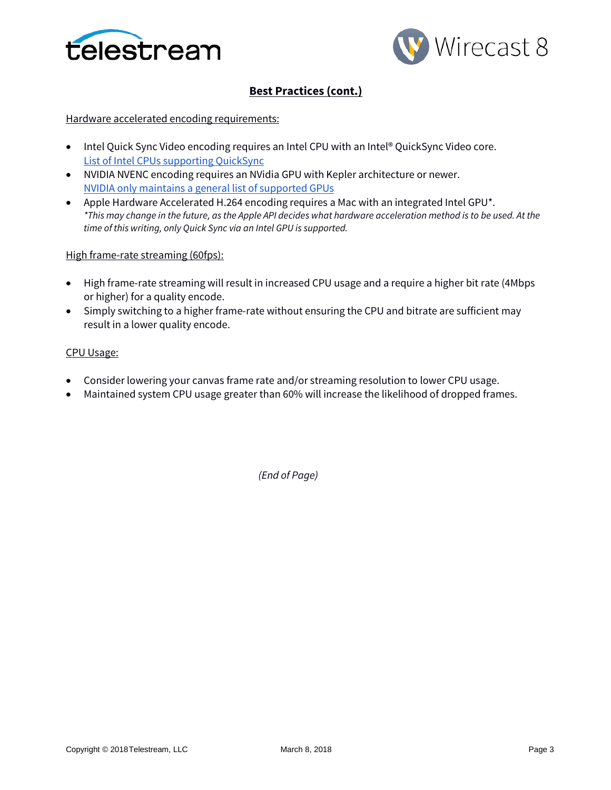



# **Best Practices (cont.)**

### Hardware accelerated encoding requirements:

- Intel Quick Sync Video encoding requires an Intel CPU with an Intel® QuickSync Video core[.](http://ark.intel.com/search/advanced?QuickSyncVideo=true&MarketSegment=DT) [List of Intel CPUs supporting QuickSync](http://ark.intel.com/search/advanced?QuickSyncVideo=true&MarketSegment=DT)
- NVIDIA NVENC encoding requires an NVidia GPU with Kepler architecture or newer[.](https://developer.nvidia.com/nvidia-video-codec-sdk) [NVIDIA only maintains a general list of supported GPUs](https://developer.nvidia.com/nvidia-video-codec-sdk)
- Apple Hardware Accelerated H.264 encoding requires a Mac with an integrated Intel GPU\*. *\*This may change in the future, as the Apple API decides what hardware acceleration method is to be used. At the time of this writing, only Quick Sync via an Intel GPU is supported.*

### High frame-rate streaming (60fps):

- High frame-rate streaming will result in increased CPU usage and a require a higher bit rate (4Mbps or higher) for a quality encode.
- Simply switching to a higher frame-rate without ensuring the CPU and bitrate are sufficient may result in a lower quality encode.

### CPU Usage:

- Consider lowering your canvas frame rate and/or streaming resolution to lower CPU usage.
- Maintained system CPU usage greater than 60% will increase the likelihood of dropped frames.

*(End of Page)*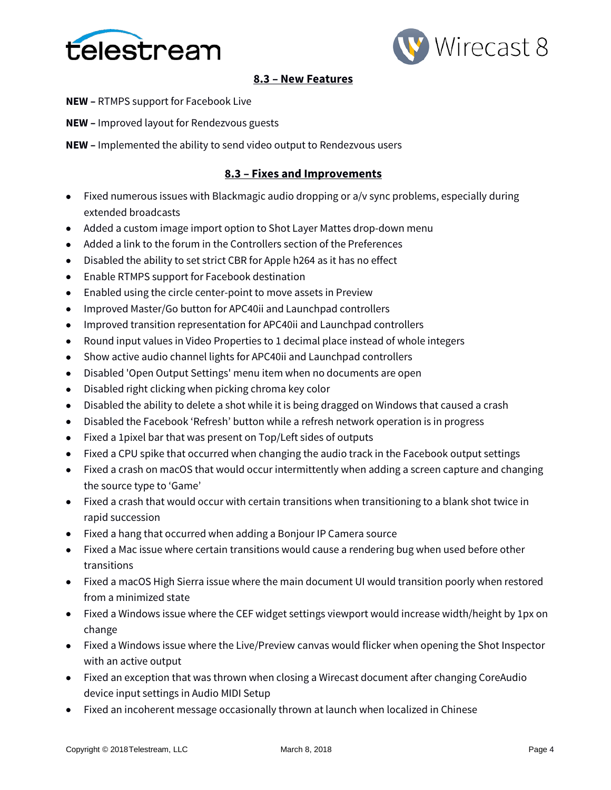



# **8.3 – New Features**

- **NEW –** RTMPS support for Facebook Live
- **NEW –** Improved layout for Rendezvous guests
- **NEW –** Implemented the ability to send video output to Rendezvous users

# **8.3 – Fixes and Improvements**

- Fixed numerous issues with Blackmagic audio dropping or a/v sync problems, especially during extended broadcasts
- Added a custom image import option to Shot Layer Mattes drop-down menu
- Added a link to the forum in the Controllers section of the Preferences
- Disabled the ability to set strict CBR for Apple h264 as it has no effect
- Enable RTMPS support for Facebook destination
- Enabled using the circle center-point to move assets in Preview
- Improved Master/Go button for APC40ii and Launchpad controllers
- Improved transition representation for APC40ii and Launchpad controllers
- Round input values in Video Properties to 1 decimal place instead of whole integers
- Show active audio channel lights for APC40ii and Launchpad controllers
- Disabled 'Open Output Settings' menu item when no documents are open
- Disabled right clicking when picking chroma key color
- Disabled the ability to delete a shot while it is being dragged on Windows that caused a crash
- Disabled the Facebook 'Refresh' button while a refresh network operation is in progress
- Fixed a 1pixel bar that was present on Top/Left sides of outputs
- Fixed a CPU spike that occurred when changing the audio track in the Facebook output settings
- Fixed a crash on macOS that would occur intermittently when adding a screen capture and changing the source type to 'Game'
- Fixed a crash that would occur with certain transitions when transitioning to a blank shot twice in rapid succession
- Fixed a hang that occurred when adding a Bonjour IP Camera source
- Fixed a Mac issue where certain transitions would cause a rendering bug when used before other transitions
- Fixed a macOS High Sierra issue where the main document UI would transition poorly when restored from a minimized state
- Fixed a Windows issue where the CEF widget settings viewport would increase width/height by 1px on change
- Fixed a Windows issue where the Live/Preview canvas would flicker when opening the Shot Inspector with an active output
- Fixed an exception that was thrown when closing a Wirecast document after changing CoreAudio device input settings in Audio MIDI Setup
- Fixed an incoherent message occasionally thrown at launch when localized in Chinese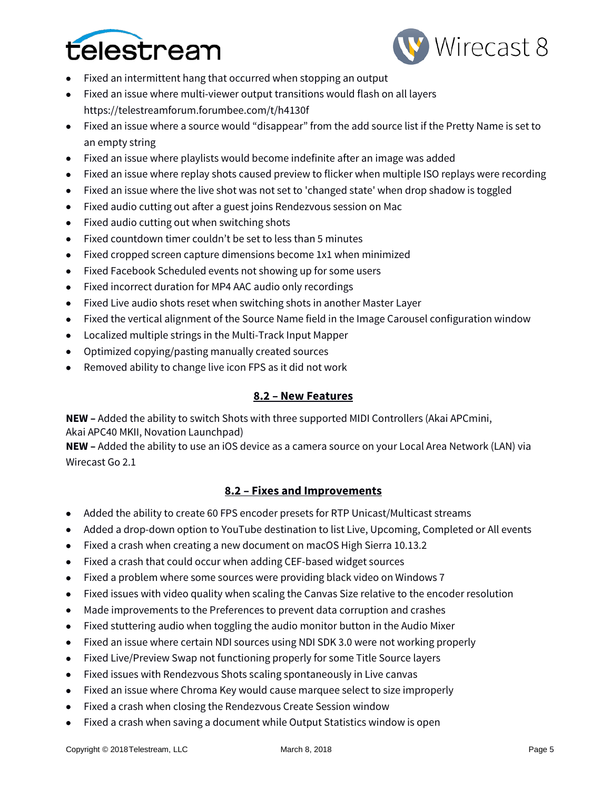



- Fixed an intermittent hang that occurred when stopping an output
- Fixed an issue where multi-viewer output transitions would flash on all layers https://telestreamforum.forumbee.com/t/h4130f
- Fixed an issue where a source would "disappear" from the add source list if the Pretty Name is set to an empty string
- Fixed an issue where playlists would become indefinite after an image was added
- Fixed an issue where replay shots caused preview to flicker when multiple ISO replays were recording
- Fixed an issue where the live shot was not set to 'changed state' when drop shadow is toggled
- Fixed audio cutting out after a guest joins Rendezvous session on Mac
- Fixed audio cutting out when switching shots
- Fixed countdown timer couldn't be set to less than 5 minutes
- Fixed cropped screen capture dimensions become 1x1 when minimized
- Fixed Facebook Scheduled events not showing up for some users
- Fixed incorrect duration for MP4 AAC audio only recordings
- Fixed Live audio shots reset when switching shots in another Master Layer
- Fixed the vertical alignment of the Source Name field in the Image Carousel configuration window
- Localized multiple strings in the Multi-Track Input Mapper
- Optimized copying/pasting manually created sources
- Removed ability to change live icon FPS as it did not work

## **8.2 – New Features**

**NEW –** Added the ability to switch Shots with three supported MIDI Controllers (Akai APCmini, Akai APC40 MKII, Novation Launchpad)

**NEW –** Added the ability to use an iOS device as a camera source on your Local Area Network (LAN) via Wirecast Go 2.1

# **8.2 – Fixes and Improvements**

- Added the ability to create 60 FPS encoder presets for RTP Unicast/Multicast streams
- Added a drop-down option to YouTube destination to list Live, Upcoming, Completed or All events
- Fixed a crash when creating a new document on macOS High Sierra 10.13.2
- Fixed a crash that could occur when adding CEF-based widget sources
- Fixed a problem where some sources were providing black video on Windows 7
- Fixed issues with video quality when scaling the Canvas Size relative to the encoder resolution
- Made improvements to the Preferences to prevent data corruption and crashes
- Fixed stuttering audio when toggling the audio monitor button in the Audio Mixer
- Fixed an issue where certain NDI sources using NDI SDK 3.0 were not working properly
- Fixed Live/Preview Swap not functioning properly for some Title Source layers
- Fixed issues with Rendezvous Shots scaling spontaneously in Live canvas
- Fixed an issue where Chroma Key would cause marquee select to size improperly
- Fixed a crash when closing the Rendezvous Create Session window
- Fixed a crash when saving a document while Output Statistics window is open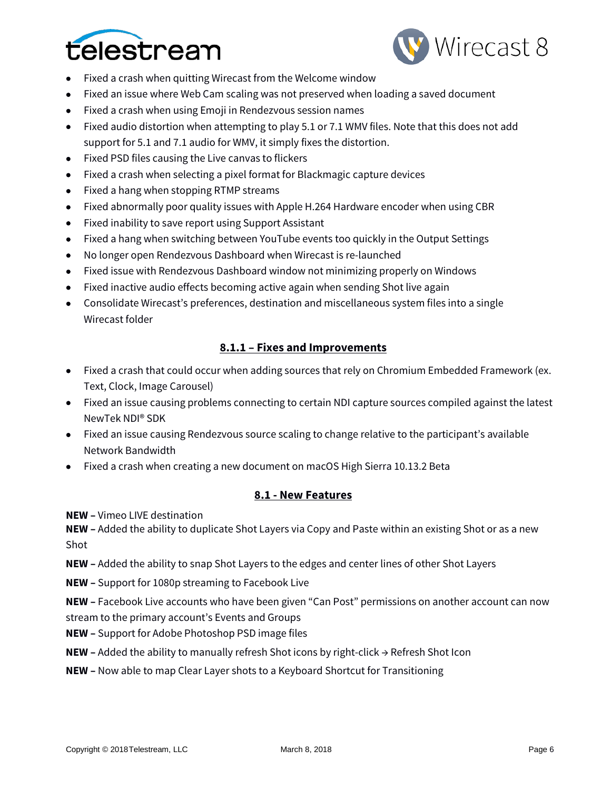



- Fixed a crash when quitting Wirecast from the Welcome window
- Fixed an issue where Web Cam scaling was not preserved when loading a saved document
- Fixed a crash when using Emoji in Rendezvous session names
- Fixed audio distortion when attempting to play 5.1 or 7.1 WMV files. Note that this does not add support for 5.1 and 7.1 audio for WMV, it simply fixes the distortion.
- Fixed PSD files causing the Live canvas to flickers
- Fixed a crash when selecting a pixel format for Blackmagic capture devices
- Fixed a hang when stopping RTMP streams
- Fixed abnormally poor quality issues with Apple H.264 Hardware encoder when using CBR
- Fixed inability to save report using Support Assistant
- Fixed a hang when switching between YouTube events too quickly in the Output Settings
- No longer open Rendezvous Dashboard when Wirecast is re-launched
- Fixed issue with Rendezvous Dashboard window not minimizing properly on Windows
- Fixed inactive audio effects becoming active again when sending Shot live again
- Consolidate Wirecast's preferences, destination and miscellaneous system files into a single Wirecast folder

# **8.1.1 – Fixes and Improvements**

- Fixed a crash that could occur when adding sources that rely on Chromium Embedded Framework (ex. Text, Clock, Image Carousel)
- Fixed an issue causing problems connecting to certain NDI capture sources compiled against the latest NewTek NDI® SDK
- Fixed an issue causing Rendezvous source scaling to change relative to the participant's available Network Bandwidth
- Fixed a crash when creating a new document on macOS High Sierra 10.13.2 Beta

## **8.1 - New Features**

**NEW –** Vimeo LIVE destination

**NEW –** Added the ability to duplicate Shot Layers via Copy and Paste within an existing Shot or as a new Shot

**NEW –** Added the ability to snap Shot Layers to the edges and center lines of other Shot Layers

**NEW –** Support for 1080p streaming to Facebook Live

**NEW –** Facebook Live accounts who have been given "Can Post" permissions on another account can now stream to the primary account's Events and Groups

- **NEW –** Support for Adobe Photoshop PSD image files
- **NEW –** Added the ability to manually refresh Shot icons by right-click → Refresh Shot Icon
- **NEW –** Now able to map Clear Layer shots to a Keyboard Shortcut for Transitioning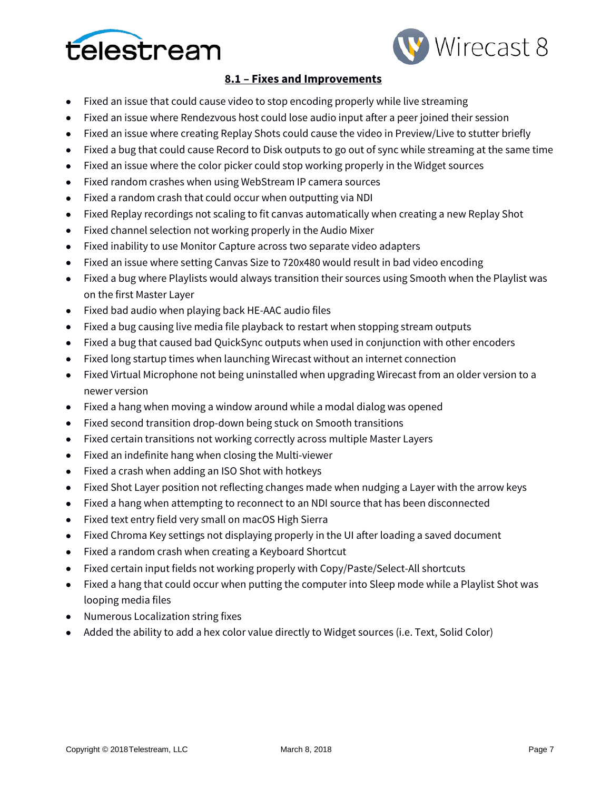



# **8.1 – Fixes and Improvements**

- Fixed an issue that could cause video to stop encoding properly while live streaming
- Fixed an issue where Rendezvous host could lose audio input after a peer joined their session
- Fixed an issue where creating Replay Shots could cause the video in Preview/Live to stutter briefly
- Fixed a bug that could cause Record to Disk outputs to go out of sync while streaming at the same time
- Fixed an issue where the color picker could stop working properly in the Widget sources
- Fixed random crashes when using WebStream IP camera sources
- Fixed a random crash that could occur when outputting via NDI
- Fixed Replay recordings not scaling to fit canvas automatically when creating a new Replay Shot
- Fixed channel selection not working properly in the Audio Mixer
- Fixed inability to use Monitor Capture across two separate video adapters
- Fixed an issue where setting Canvas Size to 720x480 would result in bad video encoding
- Fixed a bug where Playlists would always transition their sources using Smooth when the Playlist was on the first Master Layer
- Fixed bad audio when playing back HE-AAC audio files
- Fixed a bug causing live media file playback to restart when stopping stream outputs
- Fixed a bug that caused bad QuickSync outputs when used in conjunction with other encoders
- Fixed long startup times when launching Wirecast without an internet connection
- Fixed Virtual Microphone not being uninstalled when upgrading Wirecast from an older version to a newer version
- Fixed a hang when moving a window around while a modal dialog was opened
- Fixed second transition drop-down being stuck on Smooth transitions
- Fixed certain transitions not working correctly across multiple Master Layers
- Fixed an indefinite hang when closing the Multi-viewer
- Fixed a crash when adding an ISO Shot with hotkeys
- Fixed Shot Layer position not reflecting changes made when nudging a Layer with the arrow keys
- Fixed a hang when attempting to reconnect to an NDI source that has been disconnected
- Fixed text entry field very small on macOS High Sierra
- Fixed Chroma Key settings not displaying properly in the UI after loading a saved document
- Fixed a random crash when creating a Keyboard Shortcut
- Fixed certain input fields not working properly with Copy/Paste/Select-All shortcuts
- Fixed a hang that could occur when putting the computer into Sleep mode while a Playlist Shot was looping media files
- Numerous Localization string fixes
- Added the ability to add a hex color value directly to Widget sources (i.e. Text, Solid Color)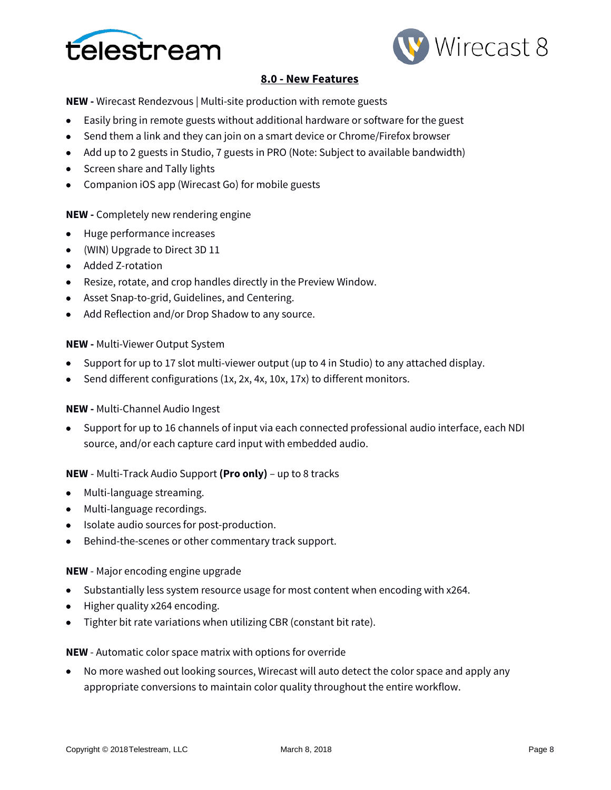



# **8.0 - New Features**

**NEW -** Wirecast Rendezvous | Multi-site production with remote guests

- Easily bring in remote guests without additional hardware or software for the guest
- Send them a link and they can join on a smart device or Chrome/Firefox browser
- Add up to 2 guests in Studio, 7 guests in PRO (Note: Subject to available bandwidth)
- Screen share and Tally lights
- Companion iOS app (Wirecast Go) for mobile guests

### **NEW -** Completely new rendering engine

- Huge performance increases
- (WIN) Upgrade to Direct 3D 11
- Added Z-rotation
- Resize, rotate, and crop handles directly in the Preview Window.
- Asset Snap-to-grid, Guidelines, and Centering.
- Add Reflection and/or Drop Shadow to any source.

### **NEW -** Multi-Viewer Output System

- Support for up to 17 slot multi-viewer output (up to 4 in Studio) to any attached display.
- Send different configurations (1x, 2x, 4x, 10x, 17x) to different monitors.

## **NEW -** Multi-Channel Audio Ingest

• Support for up to 16 channels of input via each connected professional audio interface, each NDI source, and/or each capture card input with embedded audio.

## **NEW** - Multi-Track Audio Support **(Pro only)** – up to 8 tracks

- Multi-language streaming.
- Multi-language recordings.
- Isolate audio sources for post-production.
- Behind-the-scenes or other commentary track support.

## **NEW** - Major encoding engine upgrade

- Substantially less system resource usage for most content when encoding with x264.
- Higher quality x264 encoding.
- Tighter bit rate variations when utilizing CBR (constant bit rate).

**NEW** - Automatic color space matrix with options for override

• No more washed out looking sources, Wirecast will auto detect the color space and apply any appropriate conversions to maintain color quality throughout the entire workflow.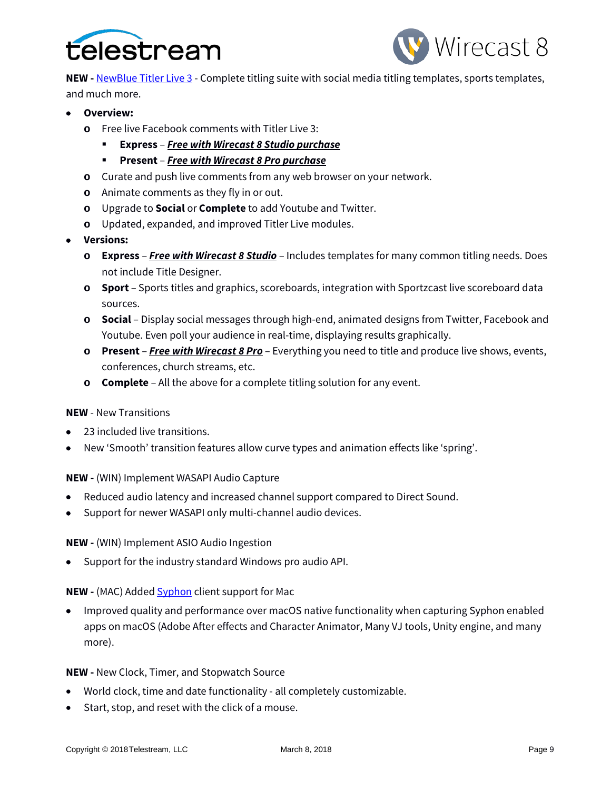



**NEW -** [NewBlue Titler Live 3](https://www.newbluefx.com/products/on-air-graphics/titler-live/) - Complete titling suite with social media titling templates, sports templates, and much more.

- **Overview:**
	- **o** Free live Facebook comments with Titler Live 3:
		- **Express**  *Free with Wirecast 8 Studio purchase*
		- **Present** *Free with Wirecast 8 Pro purchase*
	- **o** Curate and push live comments from any web browser on your network.
	- **o** Animate comments as they fly in or out.
	- **o** Upgrade to **Social** or **Complete** to add Youtube and Twitter.
	- **o** Updated, expanded, and improved Titler Live modules.
- **Versions:**
	- **o Express**  *Free with Wirecast 8 Studio* Includes templates for many common titling needs. Does not include Title Designer.
	- **o Sport** Sports titles and graphics, scoreboards, integration with Sportzcast live scoreboard data sources.
	- **o Social** Display social messages through high-end, animated designs from Twitter, Facebook and Youtube. Even poll your audience in real-time, displaying results graphically.
	- **o Present** *Free with Wirecast 8 Pro* Everything you need to title and produce live shows, events, conferences, church streams, etc.
	- **o Complete** All the above for a complete titling solution for any event.

#### **NEW** - New Transitions

- 23 included live transitions.
- New 'Smooth' transition features allow curve types and animation effects like 'spring'.

#### **NEW -** (WIN) Implement WASAPI Audio Capture

- Reduced audio latency and increased channel support compared to Direct Sound.
- Support for newer WASAPI only multi-channel audio devices.

#### **NEW -** (WIN) Implement ASIO Audio Ingestion

• Support for the industry standard Windows pro audio API.

## **NEW -** (MAC) Added **Syphon** client support for Mac

• Improved quality and performance over macOS native functionality when capturing Syphon enabled apps on macOS (Adobe After effects and Character Animator, Many VJ tools, Unity engine, and many more).

#### **NEW -** New Clock, Timer, and Stopwatch Source

- World clock, time and date functionality all completely customizable.
- Start, stop, and reset with the click of a mouse.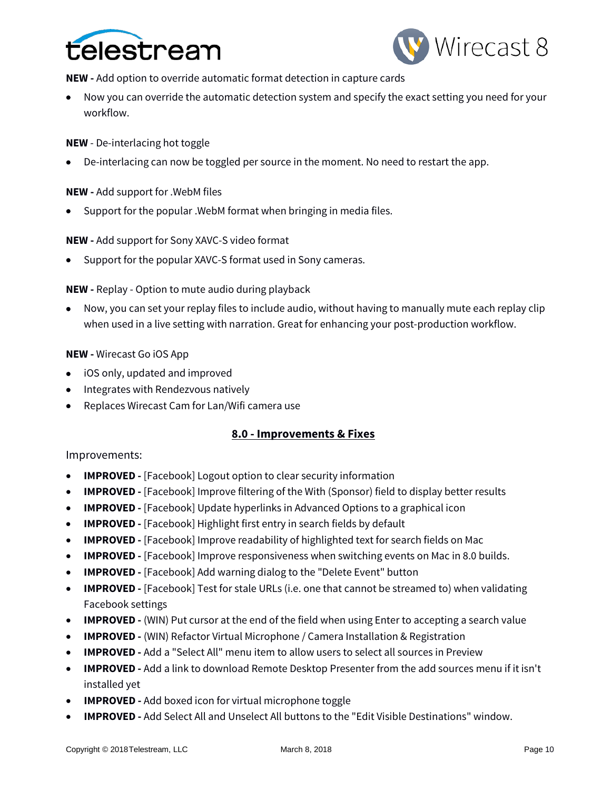



**NEW -** Add option to override automatic format detection in capture cards

• Now you can override the automatic detection system and specify the exact setting you need for your workflow.

**NEW** - De-interlacing hot toggle

• De-interlacing can now be toggled per source in the moment. No need to restart the app.

**NEW -** Add support for .WebM files

• Support for the popular .WebM format when bringing in media files.

**NEW -** Add support for Sony XAVC-S video format

• Support for the popular XAVC-S format used in Sony cameras.

**NEW -** Replay - Option to mute audio during playback

• Now, you can set your replay files to include audio, without having to manually mute each replay clip when used in a live setting with narration. Great for enhancing your post-production workflow.

### **NEW -** Wirecast Go iOS App

- iOS only, updated and improved
- Integrates with Rendezvous natively
- Replaces Wirecast Cam for Lan/Wifi camera use

## **8.0 - Improvements & Fixes**

#### Improvements:

- **IMPROVED -** [Facebook] Logout option to clear security information
- **IMPROVED -** [Facebook] Improve filtering of the With (Sponsor) field to display better results
- **IMPROVED -** [Facebook] Update hyperlinks in Advanced Options to a graphical icon
- **IMPROVED** [Facebook] Highlight first entry in search fields by default
- **IMPROVED -** [Facebook] Improve readability of highlighted text for search fields on Mac
- **IMPROVED -** [Facebook] Improve responsiveness when switching events on Mac in 8.0 builds.
- **IMPROVED -** [Facebook] Add warning dialog to the "Delete Event" button
- **IMPROVED -** [Facebook] Test for stale URLs (i.e. one that cannot be streamed to) when validating Facebook settings
- **IMPROVED -** (WIN) Put cursor at the end of the field when using Enter to accepting a search value
- **IMPROVED -** (WIN) Refactor Virtual Microphone / Camera Installation & Registration
- **IMPROVED -** Add a "Select All" menu item to allow users to select all sources in Preview
- **IMPROVED -** Add a link to download Remote Desktop Presenter from the add sources menu if it isn't installed yet
- **IMPROVED -** Add boxed icon for virtual microphone toggle
- **IMPROVED -** Add Select All and Unselect All buttons to the "Edit Visible Destinations" window.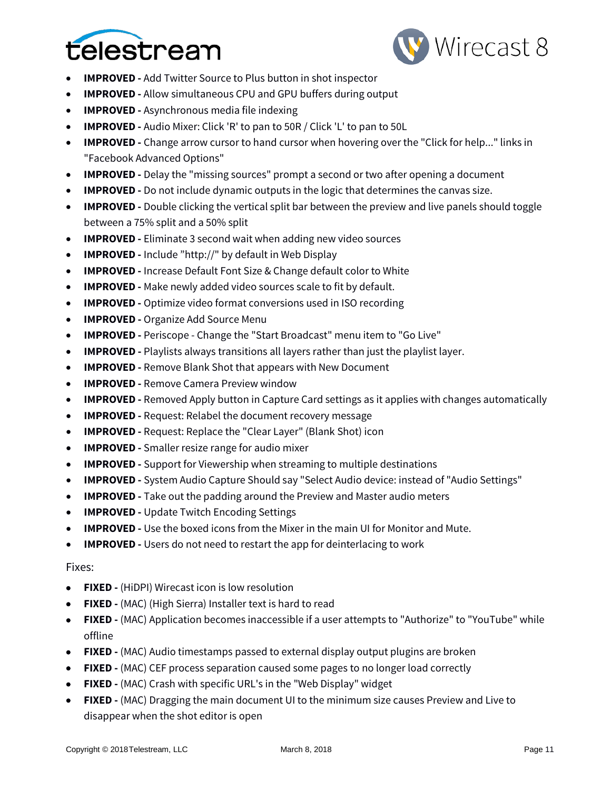



- **IMPROVED -** Add Twitter Source to Plus button in shot inspector
- **IMPROVED -** Allow simultaneous CPU and GPU buffers during output
- **IMPROVED -** Asynchronous media file indexing
- **IMPROVED -** Audio Mixer: Click 'R' to pan to 50R / Click 'L' to pan to 50L
- **IMPROVED -** Change arrow cursor to hand cursor when hovering over the "Click for help..." links in "Facebook Advanced Options"
- **IMPROVED -** Delay the "missing sources" prompt a second or two after opening a document
- **IMPROVED -** Do not include dynamic outputs in the logic that determines the canvas size.
- **IMPROVED -** Double clicking the vertical split bar between the preview and live panels should toggle between a 75% split and a 50% split
- **IMPROVED -** Eliminate 3 second wait when adding new video sources
- **IMPROVED -** Include "http://" by default in Web Display
- **IMPROVED** Increase Default Font Size & Change default color to White
- **IMPROVED -** Make newly added video sources scale to fit by default.
- **IMPROVED -** Optimize video format conversions used in ISO recording
- **IMPROVED -** Organize Add Source Menu
- **IMPROVED -** Periscope Change the "Start Broadcast" menu item to "Go Live"
- **IMPROVED -** Playlists always transitions all layers rather than just the playlist layer.
- **IMPROVED -** Remove Blank Shot that appears with New Document
- **IMPROVED -** Remove Camera Preview window
- **IMPROVED -** Removed Apply button in Capture Card settings as it applies with changes automatically
- **IMPROVED** Request: Relabel the document recovery message
- **IMPROVED** Request: Replace the "Clear Layer" (Blank Shot) icon
- **IMPROVED** Smaller resize range for audio mixer
- **IMPROVED** Support for Viewership when streaming to multiple destinations
- **IMPROVED -** System Audio Capture Should say "Select Audio device: instead of "Audio Settings"
- **IMPROVED -** Take out the padding around the Preview and Master audio meters
- **IMPROVED -** Update Twitch Encoding Settings
- **IMPROVED -** Use the boxed icons from the Mixer in the main UI for Monitor and Mute.
- **IMPROVED -** Users do not need to restart the app for deinterlacing to work

#### Fixes:

- **FIXED -** (HiDPI) Wirecast icon is low resolution
- **FIXED -** (MAC) (High Sierra) Installer text is hard to read
- **FIXED -** (MAC) Application becomes inaccessible if a user attempts to "Authorize" to "YouTube" while offline
- **FIXED -** (MAC) Audio timestamps passed to external display output plugins are broken
- **FIXED -** (MAC) CEF process separation caused some pages to no longer load correctly
- **FIXED -** (MAC) Crash with specific URL's in the "Web Display" widget
- **FIXED -** (MAC) Dragging the main document UI to the minimum size causes Preview and Live to disappear when the shot editor is open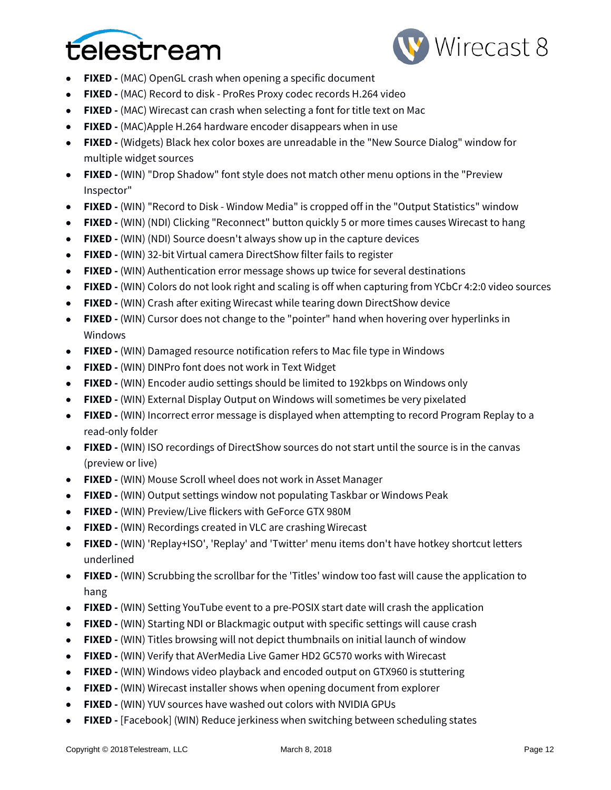



- **FIXED -** (MAC) OpenGL crash when opening a specific document
- **FIXED -** (MAC) Record to disk ProRes Proxy codec records H.264 video
- **FIXED -** (MAC) Wirecast can crash when selecting a font for title text on Mac
- **FIXED -** (MAC)Apple H.264 hardware encoder disappears when in use
- **FIXED -** (Widgets) Black hex color boxes are unreadable in the "New Source Dialog" window for multiple widget sources
- **FIXED -** (WIN) "Drop Shadow" font style does not match other menu options in the "Preview Inspector"
- **FIXED -** (WIN) "Record to Disk Window Media" is cropped off in the "Output Statistics" window
- **FIXED -** (WIN) (NDI) Clicking "Reconnect" button quickly 5 or more times causes Wirecast to hang
- **FIXED -** (WIN) (NDI) Source doesn't always show up in the capture devices
- **FIXED -** (WIN) 32-bit Virtual camera DirectShow filter fails to register
- **FIXED -** (WIN) Authentication error message shows up twice for several destinations
- **FIXED -** (WIN) Colors do not look right and scaling is off when capturing from YCbCr 4:2:0 video sources
- **FIXED -** (WIN) Crash after exiting Wirecast while tearing down DirectShow device
- **FIXED -** (WIN) Cursor does not change to the "pointer" hand when hovering over hyperlinks in Windows
- **FIXED -** (WIN) Damaged resource notification refers to Mac file type in Windows
- **FIXED -** (WIN) DINPro font does not work in Text Widget
- **FIXED -** (WIN) Encoder audio settings should be limited to 192kbps on Windows only
- **FIXED -** (WIN) External Display Output on Windows will sometimes be very pixelated
- **FIXED -** (WIN) Incorrect error message is displayed when attempting to record Program Replay to a read-only folder
- **FIXED -** (WIN) ISO recordings of DirectShow sources do not start until the source is in the canvas (preview or live)
- **FIXED -** (WIN) Mouse Scroll wheel does not work in Asset Manager
- **FIXED -** (WIN) Output settings window not populating Taskbar or Windows Peak
- **FIXED -** (WIN) Preview/Live flickers with GeForce GTX 980M
- **FIXED -** (WIN) Recordings created in VLC are crashing Wirecast
- **FIXED -** (WIN) 'Replay+ISO', 'Replay' and 'Twitter' menu items don't have hotkey shortcut letters underlined
- **FIXED -** (WIN) Scrubbing the scrollbar for the 'Titles' window too fast will cause the application to hang
- **FIXED -** (WIN) Setting YouTube event to a pre-POSIX start date will crash the application
- **FIXED -** (WIN) Starting NDI or Blackmagic output with specific settings will cause crash
- **FIXED -** (WIN) Titles browsing will not depict thumbnails on initial launch of window
- **FIXED -** (WIN) Verify that AVerMedia Live Gamer HD2 GC570 works with Wirecast
- **FIXED -** (WIN) Windows video playback and encoded output on GTX960 is stuttering
- **FIXED -** (WIN) Wirecast installer shows when opening document from explorer
- **FIXED -** (WIN) YUV sources have washed out colors with NVIDIA GPUs
- **FIXED -** [Facebook] (WIN) Reduce jerkiness when switching between scheduling states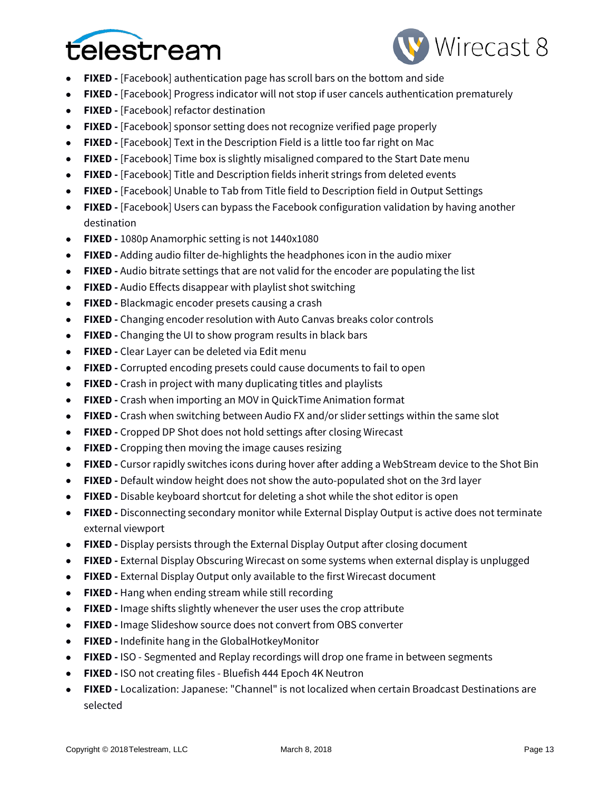



- **FIXED -** [Facebook] authentication page has scroll bars on the bottom and side
- **FIXED -** [Facebook] Progress indicator will not stop if user cancels authentication prematurely
- **FIXED -** [Facebook] refactor destination
- **FIXED -** [Facebook] sponsor setting does not recognize verified page properly
- **FIXED -** [Facebook] Text in the Description Field is a little too far right on Mac
- **FIXED -** [Facebook] Time box is slightly misaligned compared to the Start Date menu
- **FIXED -** [Facebook] Title and Description fields inherit strings from deleted events
- **FIXED -** [Facebook] Unable to Tab from Title field to Description field in Output Settings
- **FIXED -** [Facebook] Users can bypass the Facebook configuration validation by having another destination
- **FIXED -** 1080p Anamorphic setting is not 1440x1080
- **FIXED -** Adding audio filter de-highlights the headphones icon in the audio mixer
- **FIXED -** Audio bitrate settings that are not valid for the encoder are populating the list
- **FIXED -** Audio Effects disappear with playlist shot switching
- **FIXED -** Blackmagic encoder presets causing a crash
- **FIXED -** Changing encoder resolution with Auto Canvas breaks color controls
- **FIXED -** Changing the UI to show program results in black bars
- **FIXED -** Clear Layer can be deleted via Edit menu
- **FIXED -** Corrupted encoding presets could cause documents to fail to open
- **FIXED -** Crash in project with many duplicating titles and playlists
- **FIXED -** Crash when importing an MOV in QuickTime Animation format
- **FIXED -** Crash when switching between Audio FX and/or slider settings within the same slot
- **FIXED -** Cropped DP Shot does not hold settings after closing Wirecast
- **FIXED -** Cropping then moving the image causes resizing
- **FIXED -** Cursor rapidly switches icons during hover after adding a WebStream device to the Shot Bin
- **FIXED -** Default window height does not show the auto-populated shot on the 3rd layer
- **FIXED -** Disable keyboard shortcut for deleting a shot while the shot editor is open
- **FIXED -** Disconnecting secondary monitor while External Display Output is active does not terminate external viewport
- **FIXED -** Display persists through the External Display Output after closing document
- **FIXED -** External Display Obscuring Wirecast on some systems when external display is unplugged
- **FIXED -** External Display Output only available to the first Wirecast document
- **FIXED -** Hang when ending stream while still recording
- **FIXED -** Image shifts slightly whenever the user uses the crop attribute
- **FIXED -** Image Slideshow source does not convert from OBS converter
- **FIXED -** Indefinite hang in the GlobalHotkeyMonitor
- **FIXED -** ISO Segmented and Replay recordings will drop one frame in between segments
- **FIXED -** ISO not creating files Bluefish 444 Epoch 4K Neutron
- **FIXED -** Localization: Japanese: "Channel" is not localized when certain Broadcast Destinations are selected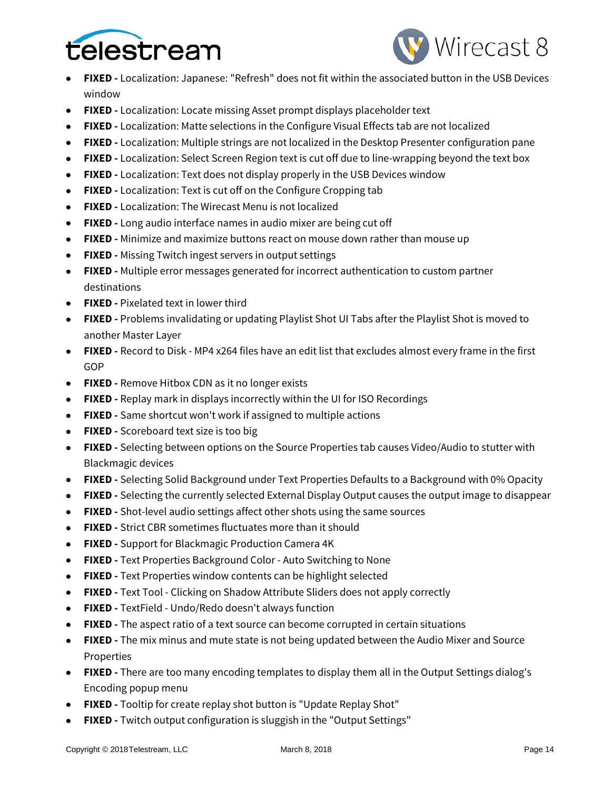



- **FIXED -** Localization: Japanese: "Refresh" does not fit within the associated button in the USB Devices window
- **FIXED -** Localization: Locate missing Asset prompt displays placeholder text
- **FIXED -** Localization: Matte selections in the Configure Visual Effects tab are not localized
- **FIXED -** Localization: Multiple strings are not localized in the Desktop Presenter configuration pane
- **FIXED -** Localization: Select Screen Region text is cut off due to line-wrapping beyond the text box
- **FIXED -** Localization: Text does not display properly in the USB Devices window
- **FIXED -** Localization: Text is cut off on the Configure Cropping tab
- **FIXED -** Localization: The Wirecast Menu is not localized
- **FIXED -** Long audio interface names in audio mixer are being cut off
- **FIXED -** Minimize and maximize buttons react on mouse down rather than mouse up
- **FIXED -** Missing Twitch ingest servers in output settings
- **FIXED -** Multiple error messages generated for incorrect authentication to custom partner destinations
- **FIXED -** Pixelated text in lower third
- **FIXED -** Problems invalidating or updating Playlist Shot UI Tabs after the Playlist Shot is moved to another Master Layer
- **FIXED -** Record to Disk MP4 x264 files have an edit list that excludes almost every frame in the first GOP
- **FIXED -** Remove Hitbox CDN as it no longer exists
- **FIXED -** Replay mark in displays incorrectly within the UI for ISO Recordings
- **FIXED -** Same shortcut won't work if assigned to multiple actions
- **FIXED -** Scoreboard text size is too big
- **FIXED -** Selecting between options on the Source Properties tab causes Video/Audio to stutter with Blackmagic devices
- **FIXED -** Selecting Solid Background under Text Properties Defaults to a Background with 0% Opacity
- **FIXED -** Selecting the currently selected External Display Output causes the output image to disappear
- **FIXED -** Shot-level audio settings affect other shots using the same sources
- **FIXED -** Strict CBR sometimes fluctuates more than it should
- **FIXED -** Support for Blackmagic Production Camera 4K
- **FIXED -** Text Properties Background Color Auto Switching to None
- **FIXED -** Text Properties window contents can be highlight selected
- **FIXED -** Text Tool Clicking on Shadow Attribute Sliders does not apply correctly
- **FIXED -** TextField Undo/Redo doesn't always function
- **FIXED -** The aspect ratio of a text source can become corrupted in certain situations
- **FIXED -** The mix minus and mute state is not being updated between the Audio Mixer and Source Properties
- **FIXED -** There are too many encoding templates to display them all in the Output Settings dialog's Encoding popup menu
- **FIXED -** Tooltip for create replay shot button is "Update Replay Shot"
- **FIXED -** Twitch output configuration is sluggish in the "Output Settings"